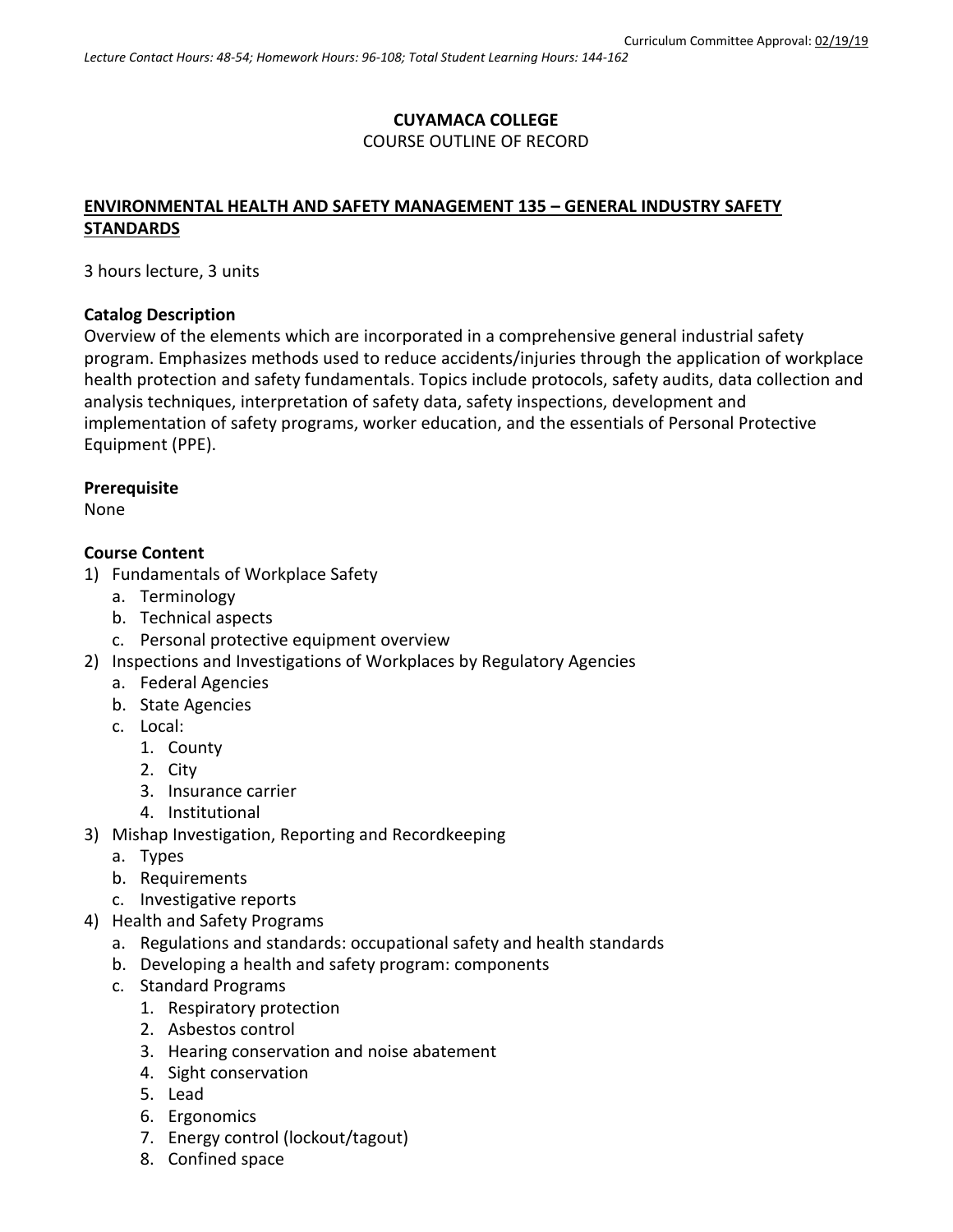### **CUYAMACA COLLEGE** COURSE OUTLINE OF RECORD

## **ENVIRONMENTAL HEALTH AND SAFETY MANAGEMENT 135 – GENERAL INDUSTRY SAFETY STANDARDS**

3 hours lecture, 3 units

#### **Catalog Description**

Overview of the elements which are incorporated in a comprehensive general industrial safety program. Emphasizes methods used to reduce accidents/injuries through the application of workplace health protection and safety fundamentals. Topics include protocols, safety audits, data collection and analysis techniques, interpretation of safety data, safety inspections, development and implementation of safety programs, worker education, and the essentials of Personal Protective Equipment (PPE).

#### **Prerequisite**

None

#### **Course Content**

- 1) Fundamentals of Workplace Safety
	- a. Terminology
	- b. Technical aspects
	- c. Personal protective equipment overview
- 2) Inspections and Investigations of Workplaces by Regulatory Agencies
	- a. Federal Agencies
	- b. State Agencies
	- c. Local:
		- 1. County
		- 2. City
		- 3. Insurance carrier
		- 4. Institutional
- 3) Mishap Investigation, Reporting and Recordkeeping
	- a. Types
	- b. Requirements
	- c. Investigative reports
- 4) Health and Safety Programs
	- a. Regulations and standards: occupational safety and health standards
	- b. Developing a health and safety program: components
	- c. Standard Programs
		- 1. Respiratory protection
		- 2. Asbestos control
		- 3. Hearing conservation and noise abatement
		- 4. Sight conservation
		- 5. Lead
		- 6. Ergonomics
		- 7. Energy control (lockout/tagout)
		- 8. Confined space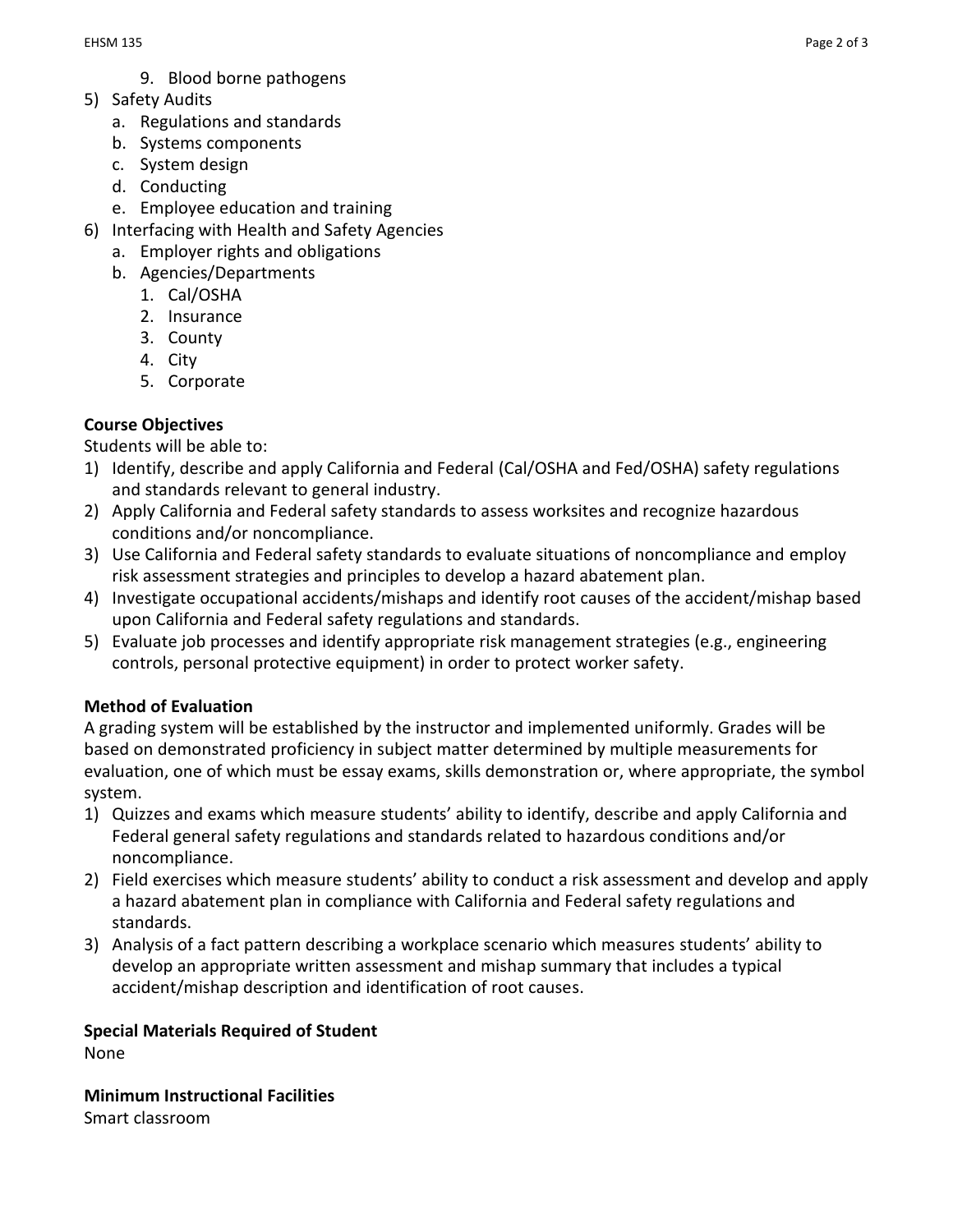- 9. Blood borne pathogens
- 5) Safety Audits
	- a. Regulations and standards
	- b. Systems components
	- c. System design
	- d. Conducting
	- e. Employee education and training
- 6) Interfacing with Health and Safety Agencies
	- a. Employer rights and obligations
	- b. Agencies/Departments
		- 1. Cal/OSHA
		- 2. Insurance
		- 3. County
		- 4. City
		- 5. Corporate

# **Course Objectives**

Students will be able to:

- 1) Identify, describe and apply California and Federal (Cal/OSHA and Fed/OSHA) safety regulations and standards relevant to general industry.
- 2) Apply California and Federal safety standards to assess worksites and recognize hazardous conditions and/or noncompliance.
- 3) Use California and Federal safety standards to evaluate situations of noncompliance and employ risk assessment strategies and principles to develop a hazard abatement plan.
- 4) Investigate occupational accidents/mishaps and identify root causes of the accident/mishap based upon California and Federal safety regulations and standards.
- 5) Evaluate job processes and identify appropriate risk management strategies (e.g., engineering controls, personal protective equipment) in order to protect worker safety.

## **Method of Evaluation**

A grading system will be established by the instructor and implemented uniformly. Grades will be based on demonstrated proficiency in subject matter determined by multiple measurements for evaluation, one of which must be essay exams, skills demonstration or, where appropriate, the symbol system.

- 1) Quizzes and exams which measure students' ability to identify, describe and apply California and Federal general safety regulations and standards related to hazardous conditions and/or noncompliance.
- 2) Field exercises which measure students' ability to conduct a risk assessment and develop and apply a hazard abatement plan in compliance with California and Federal safety regulations and standards.
- 3) Analysis of a fact pattern describing a workplace scenario which measures students' ability to develop an appropriate written assessment and mishap summary that includes a typical accident/mishap description and identification of root causes.

## **Special Materials Required of Student**

None

**Minimum Instructional Facilities** Smart classroom